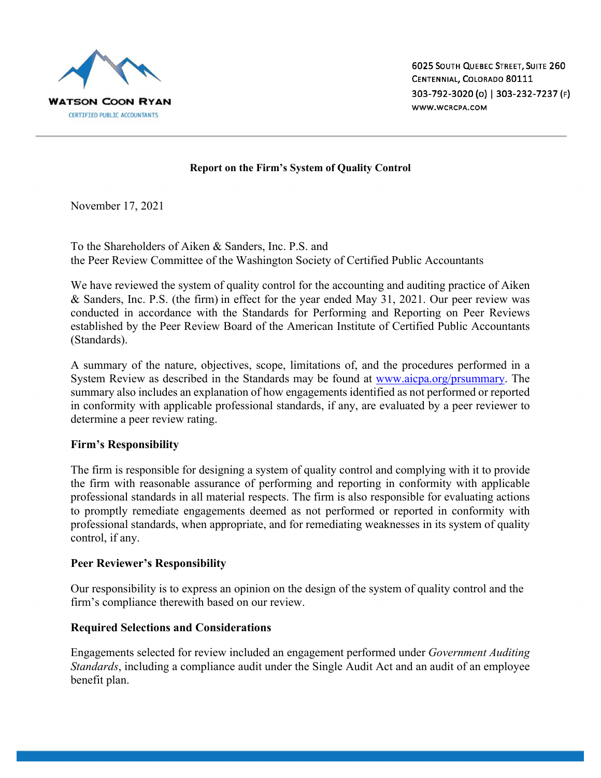

### **Report on the Firm's System of Quality Control**

November 17, 2021

To the Shareholders of Aiken & Sanders, Inc. P.S. and the Peer Review Committee of the Washington Society of Certified Public Accountants

We have reviewed the system of quality control for the accounting and auditing practice of Aiken & Sanders, Inc. P.S. (the firm) in effect for the year ended May 31, 2021. Our peer review was conducted in accordance with the Standards for Performing and Reporting on Peer Reviews established by the Peer Review Board of the American Institute of Certified Public Accountants (Standards).

A summary of the nature, objectives, scope, limitations of, and the procedures performed in a System Review as described in the Standards may be found at www.aicpa.org/prsummary. The summary also includes an explanation of how engagements identified as not performed or reported in conformity with applicable professional standards, if any, are evaluated by a peer reviewer to determine a peer review rating.

## **Firm's Responsibility**

The firm is responsible for designing a system of quality control and complying with it to provide the firm with reasonable assurance of performing and reporting in conformity with applicable professional standards in all material respects. The firm is also responsible for evaluating actions to promptly remediate engagements deemed as not performed or reported in conformity with professional standards, when appropriate, and for remediating weaknesses in its system of quality control, if any.

## **Peer Reviewer's Responsibility**

Our responsibility is to express an opinion on the design of the system of quality control and the firm's compliance therewith based on our review.

## **Required Selections and Considerations**

Engagements selected for review included an engagement performed under *Government Auditing Standards*, including a compliance audit under the Single Audit Act and an audit of an employee benefit plan.